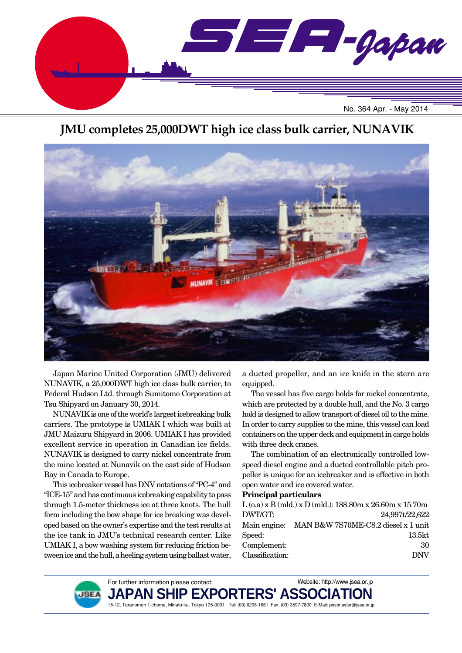

## **JMU completes 25,000DWT high ice class bulk carrier, NUNAVIK**



Japan Marine United Corporation (JMU) delivered NUNAVIK, a 25,000DWT high ice class bulk carrier, to Federal Hudson Ltd. through Sumitomo Corporation at Tsu Shipyard on January 30, 2014.

NUNAVIK is one of the world's largest icebreaking bulk carriers. The prototype is UMIAK I which was built at JMU Maizuru Shipyard in 2006. UMIAK I has provided excellent service in operation in Canadian ice fields. NUNAVIK is designed to carry nickel concentrate from the mine located at Nunavik on the east side of Hudson Bay in Canada to Europe.

This icebreaker vessel has DNV notations of "PC-4" and "ICE-15" and has continuous icebreaking capability to pass through 1.5-meter thickness ice at three knots. The hull form including the bow shape for ice breaking was developed based on the owner's expertise and the test results at the ice tank in JMU's technical research center. Like UMIAK I, a bow washing system for reducing friction between ice and the hull, a heeling system using ballast water,

a ducted propeller, and an ice knife in the stern are equipped.

The vessel has five cargo holds for nickel concentrate, which are protected by a double hull, and the No. 3 cargo hold is designed to allow transport of diesel oil to the mine. In order to carry supplies to the mine, this vessel can load containers on the upper deck and equipment in cargo holds with three deck cranes.

The combination of an electronically controlled lowspeed diesel engine and a ducted controllable pitch propeller is unique for an icebreaker and is effective in both open water and ice covered water.

### **Principal particulars**

|                 | $L$ (o.a) x B (mld.) x D (mld.): 188.80m x 26.60m x 15.70m |
|-----------------|------------------------------------------------------------|
| DWT/GT:         | 24,997t/22,622                                             |
| Main engine:    | MAN B&W 7S70ME-C8.2 diesel x 1 unit                        |
| Speed:          | 13.5kt                                                     |
| Complement:     | 30                                                         |
| Classification: | <b>DNV</b>                                                 |

Website: http://www.jsea.or.jp



**JAPAN S** 15-12, Toranomon 1-chome, Minato-ku, Tokyo 105-0001 Tel: (03) 6206-1661 Fax: (03) 3597-7800 E-Mail: postmaster@jsea.or.jp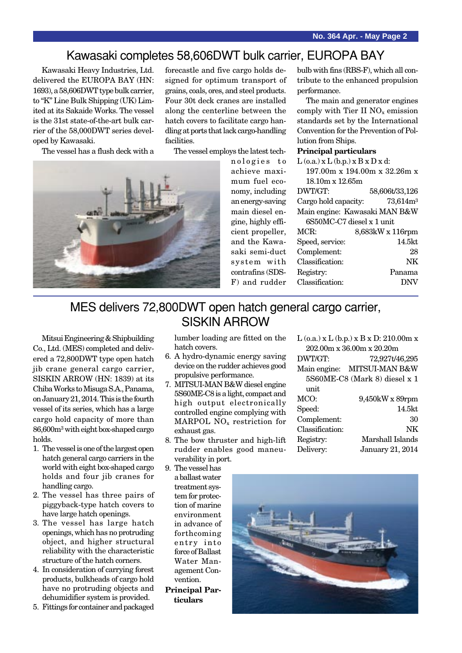### Kawasaki completes 58,606DWT bulk carrier, EUROPA BAY

Kawasaki Heavy Industries, Ltd. delivered the EUROPA BAY (HN: 1693), a 58,606DWT type bulk carrier, to "K" Line Bulk Shipping (UK) Limited at its Sakaide Works. The vessel is the 31st state-of-the-art bulk carrier of the 58,000DWT series developed by Kawasaki.

The vessel has a flush deck with a

forecastle and five cargo holds designed for optimum transport of grains, coals, ores, and steel products. Four 30t deck cranes are installed along the centerline between the hatch covers to facilitate cargo handling at ports that lack cargo-handling facilities.

The vessel employs the latest tech-



nologies to achieve maximum fuel economy, including an energy-saving main diesel engine, highly efficient propeller, and the Kawasaki semi-duct system with contrafins (SDS-F) and rudder

bulb with fins (RBS-F), which all contribute to the enhanced propulsion performance.

The main and generator engines comply with Tier II  $NO<sub>x</sub>$  emission standards set by the International Convention for the Prevention of Pollution from Ships.

#### **Principal particulars**

| $L$ (o.a.) x $L$ (b.p.) x $B$ x $D$ x d:      |                  |
|-----------------------------------------------|------------------|
| $197.00m \times 194.00m \times 32.26m \times$ |                  |
| $18.10m \times 12.65m$                        |                  |
| DWT/GT:                                       | 58,606t/33,126   |
| Cargo hold capacity:                          | $73{,}614m^3$    |
| Main engine: Kawasaki MAN B&W                 |                  |
| 6S50MC-C7 diesel x 1 unit                     |                  |
| MCR:                                          | 8,683kW x 116rpm |
| Speed, service:                               | 14.5kt           |
| Complement:                                   | 28               |
| Classification:                               | NK               |
| Registry:                                     | Panama           |
| Classification:                               | DΝ               |
|                                               |                  |

## MES delivers 72,800DWT open hatch general cargo carrier, SISKIN ARROW

Mitsui Engineering & Shipbuilding Co., Ltd. (MES) completed and delivered a 72,800DWT type open hatch jib crane general cargo carrier, SISKIN ARROW (HN: 1839) at its Chiba Works to Misuga S.A., Panama, on January 21, 2014. This is the fourth vessel of its series, which has a large cargo hold capacity of more than 86,600m3 with eight box-shaped cargo holds.

- 1. The vessel is one of the largest open hatch general cargo carriers in the world with eight box-shaped cargo holds and four jib cranes for handling cargo.
- 2. The vessel has three pairs of piggyback-type hatch covers to have large hatch openings.
- 3. The vessel has large hatch openings, which has no protruding object, and higher structural reliability with the characteristic structure of the hatch corners.
- 4. In consideration of carrying forest products, bulkheads of cargo hold have no protruding objects and dehumidifier system is provided.
- 5. Fittings for container and packaged

lumber loading are fitted on the hatch covers.

- 6. A hydro-dynamic energy saving device on the rudder achieves good propulsive performance.
- 7. MITSUI-MAN B&W diesel engine 5S60ME-C8 is a light, compact and high output electronically controlled engine complying with MARPOL NO<sub>x</sub> restriction for exhaust gas.
- 8. The bow thruster and high-lift rudder enables good maneuverability in port.
- 9. The vessel has a ballast water treatment system for protection of marine environment in advance of forthcoming entry into force of Ballast Water Management Convention.
- **Principal Particulars**

| $L$ (o.a.) x $L$ (b.p.) x $B$ x $D: 210.00m$ x |                               |  |
|------------------------------------------------|-------------------------------|--|
|                                                | 202.00m x 36.00m x 20.20m     |  |
| DWT/GT:                                        | 72,927t/46,295                |  |
|                                                | Main engine: MITSUI-MAN B&W   |  |
|                                                | 5S60ME-C8 (Mark 8) diesel x 1 |  |
| unit                                           |                               |  |
| MCO:                                           | 9,450kW x 89rpm               |  |
| Speed:                                         | $14.5$ kt                     |  |
| Complement:                                    | 30                            |  |
| Classification:                                | NΚ                            |  |
| Registry:                                      | Marshall Islands              |  |
| Delivery:                                      | January 21, 2014              |  |
|                                                |                               |  |

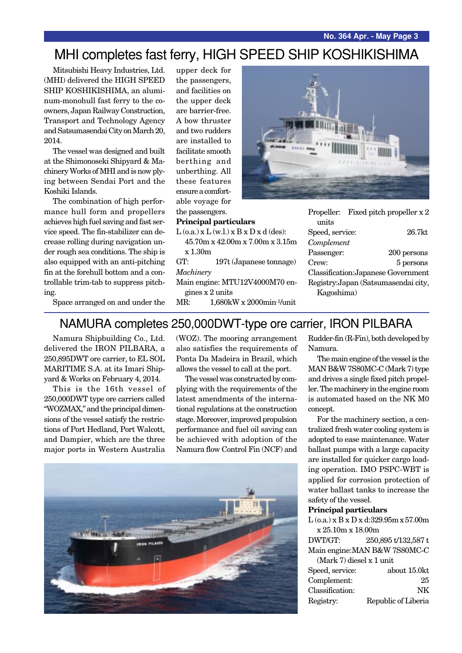# MHI completes fast ferry, HIGH SPEED SHIP KOSHIKISHIMA

Mitsubishi Heavy Industries, Ltd. (MHI) delivered the HIGH SPEED SHIP KOSHIKISHIMA, an aluminum-monohull fast ferry to the coowners, Japan Railway Construction, Transport and Technology Agency and Satsumasendai City on March 20, 2014.

The vessel was designed and built at the Shimonoseki Shipyard & Machinery Works of MHI and is now plying between Sendai Port and the Koshiki Islands.

The combination of high performance hull form and propellers achieves high fuel saving and fast service speed. The fin-stabilizer can decrease rolling during navigation under rough sea conditions. The ship is also equipped with an anti-pitching fin at the forehull bottom and a controllable trim-tab to suppress pitching.

upper deck for the passengers, and facilities on the upper deck are barrier-free. A bow thruster and two rudders are installed to facilitate smooth berthing and unberthing. All these features ensure a comfortable voyage for the passengers.



### **Principal particulars**

- $L$  (o.a.)  $x L$  (w.l.)  $x B x D x d$  (des): 45.70m x 42.00m x 7.00m x 3.15m x 1.30m GT: 197t (Japanese tonnage) *Machinery*
- Main engine: MTU12V4000M70 engines x 2 units
- MR: 1,680kW x 2000min-1/unit

|                 | Propeller: Fixed pitch propeller $x 2$ |
|-----------------|----------------------------------------|
| units           |                                        |
| Speed, service: | $26.7$ kt                              |
| Complement      |                                        |
| Passenger:      | 200 persons                            |
| Crew:           | 5 persons                              |
|                 | Classification: Japanese Government    |
|                 | Registry: Japan (Satsumasendai city,   |
| Kagoshima)      |                                        |

Space arranged on and under the

### NAMURA completes 250,000DWT-type ore carrier, IRON PILBARA

Namura Shipbuilding Co., Ltd. delivered the IRON PILBARA, a 250,895DWT ore carrier, to EL SOL MARITIME S.A. at its Imari Shipyard & Works on February 4, 2014.

This is the 16th vessel of 250,000DWT type ore carriers called "WOZMAX," and the principal dimensions of the vessel satisfy the restrictions of Port Hedland, Port Walcott, and Dampier, which are the three major ports in Western Australia

(WOZ). The mooring arrangement also satisfies the requirements of Ponta Da Madeira in Brazil, which allows the vessel to call at the port.

The vessel was constructed by complying with the requirements of the latest amendments of the international regulations at the construction stage. Moreover, improved propulsion performance and fuel oil saving can be achieved with adoption of the Namura flow Control Fin (NCF) and



Rudder-fin (R-Fin), both developed by Namura.

The main engine of the vessel is the MAN B&W 7S80MC-C (Mark 7) type and drives a single fixed pitch propeller. The machinery in the engine room is automated based on the NK M0 concept.

For the machinery section, a centralized fresh water cooling system is adopted to ease maintenance. Water ballast pumps with a large capacity are installed for quicker cargo loading operation. IMO PSPC-WBT is applied for corrosion protection of water ballast tanks to increase the safety of the vessel.

#### **Principal particulars**

L (o.a.) x B x D x d:329.95m x 57.00m x 25.10m x 18.00m

DWT/GT: 250,895 t/132,587 t Main engine:MAN B&W 7S80MC-C

| (Mark 7) diesel x 1 unit |
|--------------------------|
|--------------------------|

| about 15.0kt        |
|---------------------|
| 25                  |
| NK.                 |
| Republic of Liberia |
|                     |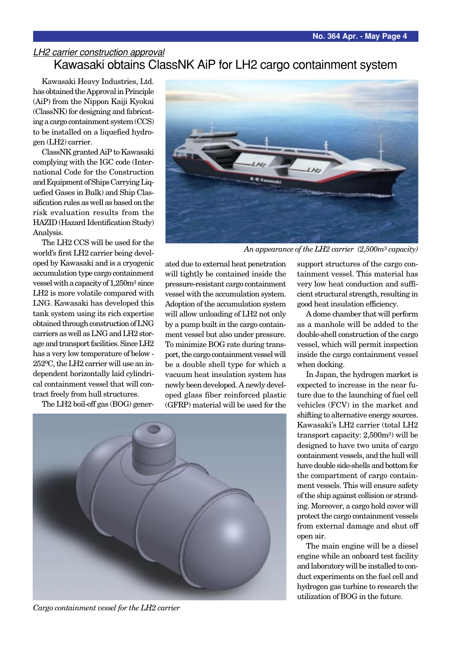### LH2 carrier construction approval Kawasaki obtains ClassNK AiP for LH2 cargo containment system

Kawasaki Heavy Industries, Ltd. has obtained the Approval in Principle (AiP) from the Nippon Kaiji Kyokai (ClassNK) for designing and fabricating a cargo containment system (CCS) to be installed on a liquefied hydrogen (LH2) carrier.

ClassNK granted AiP to Kawasaki complying with the IGC code (International Code for the Construction and Equipment of Ships Carrying Liquefied Gases in Bulk) and Ship Classification rules as well as based on the risk evaluation results from the HAZID (Hazard Identification Study) Analysis.

The LH2 CCS will be used for the world's first LH2 carrier being developed by Kawasaki and is a cryogenic accumulation type cargo containment vessel with a capacity of 1,250m3 since LH2 is more volatile compared with LNG. Kawasaki has developed this tank system using its rich expertise obtained through construction of LNG carriers as well as LNG and LH2 storage and transport facilities. Since LH2 has a very low temperature of below - 252oC, the LH2 carrier will use an independent horizontally laid cylindrical containment vessel that will contract freely from hull structures.

The LH2 boil-off gas (BOG) gener-



*An appearance of the LH2 carrier (2,500m*3 *capacity)*

ated due to external heat penetration will tightly be contained inside the pressure-resistant cargo containment vessel with the accumulation system. Adoption of the accumulation system will allow unloading of LH2 not only by a pump built in the cargo containment vessel but also under pressure. To minimize BOG rate during transport, the cargo containment vessel will be a double shell type for which a vacuum heat insulation system has newly been developed. A newly developed glass fiber reinforced plastic (GFRP) material will be used for the



*Cargo containment vessel for the LH2 carrier*

support structures of the cargo containment vessel. This material has very low heat conduction and sufficient structural strength, resulting in good heat insulation efficiency.

A dome chamber that will perform as a manhole will be added to the double-shell construction of the cargo vessel, which will permit inspection inside the cargo containment vessel when docking.

In Japan, the hydrogen market is expected to increase in the near future due to the launching of fuel cell vehicles (FCV) in the market and shifting to alternative energy sources. Kawasaki's LH2 carrier (total LH2 transport capacity: 2,500m3) will be designed to have two units of cargo containment vessels, and the hull will have double side-shells and bottom for the compartment of cargo containment vessels. This will ensure safety of the ship against collision or stranding. Moreover, a cargo hold cover will protect the cargo containment vessels from external damage and shut off open air.

The main engine will be a diesel engine while an onboard test facility and laboratory will be installed to conduct experiments on the fuel cell and hydrogen gas turbine to research the utilization of BOG in the future.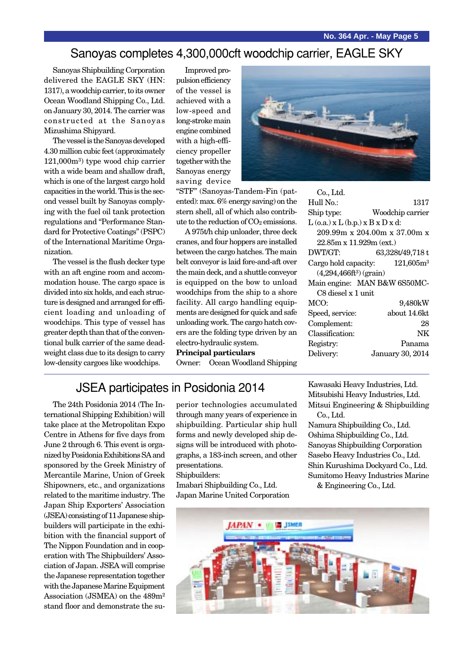### Sanoyas completes 4,300,000cft woodchip carrier, EAGLE SKY

Sanoyas Shipbuilding Corporation delivered the EAGLE SKY (HN: 1317), a woodchip carrier, to its owner Ocean Woodland Shipping Co., Ltd. on January 30, 2014. The carrier was constructed at the Sanoyas Mizushima Shipyard.

The vessel is the Sanoyas developed 4.30 million cubic feet (approximately 121,000m3) type wood chip carrier with a wide beam and shallow draft, which is one of the largest cargo hold capacities in the world. This is the second vessel built by Sanoyas complying with the fuel oil tank protection regulations and "Performance Standard for Protective Coatings" (PSPC) of the International Maritime Organization.

The vessel is the flush decker type with an aft engine room and accommodation house. The cargo space is divided into six holds, and each structure is designed and arranged for efficient loading and unloading of woodchips. This type of vessel has greater depth than that of the conventional bulk carrier of the same deadweight class due to its design to carry low-density cargoes like woodchips.

Improved propulsion efficiency of the vessel is achieved with a low-speed and long-stroke main engine combined with a high-efficiency propeller together with the Sanoyas energy saving device



A 975t/h chip unloader, three deck cranes, and four hoppers are installed between the cargo hatches. The main belt conveyor is laid fore-and-aft over the main deck, and a shuttle conveyor is equipped on the bow to unload woodchips from the ship to a shore facility. All cargo handling equipments are designed for quick and safe unloading work. The cargo hatch covers are the folding type driven by an electro-hydraulic system.

#### **Principal particulars**

Owner: Ocean Woodland Shipping

| Co., Ltd.                                |                                               |
|------------------------------------------|-----------------------------------------------|
| Hull No.:                                | 1317                                          |
| Ship type:                               | Woodchip carrier                              |
| $L$ (o.a.) x $L$ (b.p.) x $B$ x $D$ x d: |                                               |
|                                          | $209.99m \times 204.00m \times 37.00m \times$ |
| $22.85m \times 11.929m$ (ext.)           |                                               |
| DWT/GT:                                  | 63,328t/49,718 t                              |
|                                          | Cargo hold capacity: $121,605m^3$             |
| $(4,294,466ft^3)$ (grain)                |                                               |
|                                          | Main engine: MAN B&W 6S50MC-                  |
| C8 diesel x 1 unit                       |                                               |
| MCO:                                     | 9,480kW                                       |
| Speed, service:                          | about 14.6kt                                  |
| Complement:                              | 28                                            |
| Classification:                          | NK                                            |
| Registry:                                | Panama                                        |
| Delivery:                                | <b>January 30, 2014</b>                       |
|                                          |                                               |

## JSEA participates in Posidonia 2014

The 24th Posidonia 2014 (The International Shipping Exhibition) will take place at the Metropolitan Expo Centre in Athens for five days from June 2 through 6. This event is organized by Posidonia Exhibitions SA and sponsored by the Greek Ministry of Mercantile Marine, Union of Greek Shipowners, etc., and organizations related to the maritime industry. The Japan Ship Exporters' Association (JSEA) consisting of 11 Japanese shipbuilders will participate in the exhibition with the financial support of The Nippon Foundation and in cooperation with The Shipbuilders' Association of Japan. JSEA will comprise the Japanese representation together with the Japanese Marine Equipment Association (JSMEA) on the 489m2 stand floor and demonstrate the superior technologies accumulated through many years of experience in shipbuilding. Particular ship hull forms and newly developed ship designs will be introduced with photographs, a 183-inch screen, and other presentations.

Shipbuilders: Imabari Shipbuilding Co., Ltd.

Japan Marine United Corporation

Kawasaki Heavy Industries, Ltd. Mitsubishi Heavy Industries, Ltd. Mitsui Engineering & Shipbuilding

Co., Ltd. Namura Shipbuilding Co., Ltd. Oshima Shipbuilding Co., Ltd. Sanoyas Shipbuilding Corporation Sasebo Heavy Industries Co., Ltd. Shin Kurushima Dockyard Co., Ltd. Sumitomo Heavy Industries Marine & Engineering Co., Ltd.